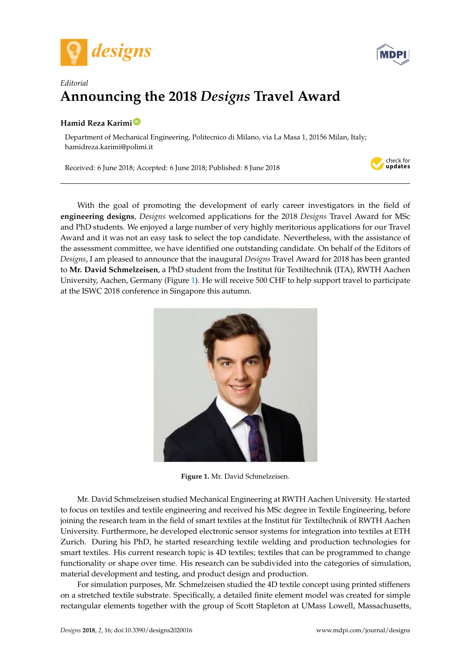



## *Editorial* **Announcing the 2018** *Designs* **Travel Award** *Editorial* **Announcing the 2018** *Designs* **Travel Award**

## **Hamid Reza Karimi [ID](https://orcid.org/0000-0001-7629-3266) Hamid Reza Karimi**

Department of Mechanical Engineering, Politecnico di Milano, via La Masa 1, 20156 Milan, Italy; ndeza.karimi@polimi.it hamidreza.karimi@polimi.it

Received: 6 June 2018; Accepted: 6 June 2018; Published: 8 June 2018 Received: 6 June 2018; Accepted: 6 June 2018; Published: 8 June 2018



With the goal of promoting the development of early career investigators in the field of With the goal of promoting the development of early career investigators in the field of engineering designs, *Designs* welcomed applications for the 2018 Designs Travel Award for MSc and PhD students. We enjoyed a large number of very highly meritorious applications for our Travel PhD students. We enjoyed a large number of very highly meritorious applications for our Travel Award and it was not an easy task to select the top candidate. Nevertheless, with the assistance of Award and it was not an easy task to select the top candidate. Nevertheless, with the assistance of the assessment committee, we have identified one outstanding candidate. On behalf of the Editors of the assessment committee, we have identified one outstanding candidate. On behalf of the Editors of Designs, I am pleased to announce that the inaugural Designs Travel Award for 2018 has been granted to **Mr. David Schmelzeisen**, a PhD student from the Institut für Textiltechnik (ITA), RWTH Aachen to **Mr. David Schmelzeisen**, a PhD student from the Institut für Textiltechnik (ITA), RWTH Aachen University, Aachen, Germany (Figure [1\)](#page-0-0). He will receive 500 CHF to help support travel to participate University, Aachen, Germany (Figure 1). He will receive 500 CHF to help support travel to participate at the ISWC 2018 conference in Singapore this autumn. at the ISWC 2018 conference in Singapore this autumn.

<span id="page-0-0"></span>

**Figure 1.** Mr. David Schmelzeisen. **Figure 1.** Mr. David Schmelzeisen.

Mr. David Schmelzeisen studied Mechanical Engineering at RWTH Aachen University. He Mr. David Schmelzeisen studied Mechanical Engineering at RWTH Aachen University. He started started to focus on textiles and textile engineering and received his MSc degree in Textile Engineering, to focus on textiles and textile engineering and received his MSc degree in Textile Engineering, before before joining the research team in the field of smart textiles at the Institut für Textiltechnik of RWTH joining the research team in the field of smart textiles at the Institut für Textiltechnik of RWTH Aachen Aachen University. Furthermore, he developed electronic sensor systems for integration into textiles University. Furthermore, he developed electronic sensor systems for integration into textiles at ETH at ETH Zurich. During his PhD, he started researching textile welding and production technologies Zurich. During his PhD, he started researching textile welding and production technologies for for small text is 1 hD, he started researching textile weight and production technologies for smart textiles. His current research topic is 4D textiles; textiles that can be programmed to change material development and testing, and product design and production. material development and testing, and product design and production. functionality or shape over time. His research can be subdivided into the categories of simulation,

For simulation purposes, Mr. Schmelzeisen studied the 4D textile concept using printed For simulation purposes, Mr. Schmelzeisen studied the 4D textile concept using printed stiffeners For simulation purposes, M. Schließeisen studied the 4D textile concept using printed substrates on a stretched textile substrate. Specifically, a detailed finite element model was created for simple simple rectangular extendion of the group of Scott State State State State State State State State State State State State State State State State State State State State State State State State State State State State Sta rectangular elements together with the group of Scott Stapleton at UMass Lowell, Massachusetts,